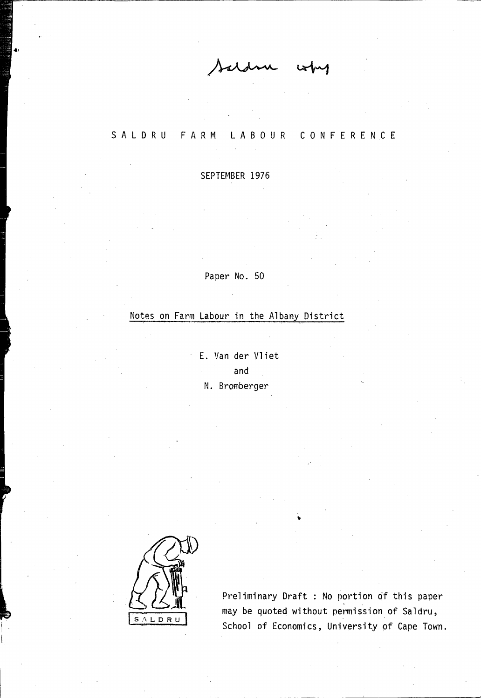SAL D R U FARM LABOUR CONFERENCE

SEPTEMBER 1976

Paper No. 50

# Notes on Farm Labour in the Albany District

E. Van der Vliet and N. Bromberger



Preliminary Draft : No portion of this paper may be quoted without permission of Saldru, School of Economics, University pf Cape Town.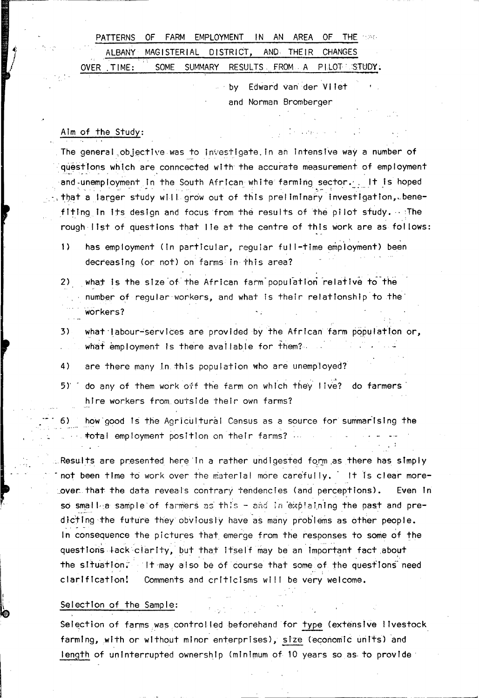|            |  | PATTERNS OF FARM EMPLOYMENT IN AN AREA OF THE 1996 |  |  |  |
|------------|--|----------------------------------------------------|--|--|--|
|            |  | ALBANY MAGISTERIAL DISTRICT, AND THEIR CHANGES     |  |  |  |
| OVER TIME: |  | SOME SUMMARY RESULTS FROM A PILOT STUDY:           |  |  |  |

by Edward van der Vilet and Norman Bromberger

#### Alm of the Study:

The general objective was to investigate in an intensive way a number of questions which are conneected with the accurate measurement of employment and unemployment in the South African white farming sector. It is hoped that a larger study will grow out of this preliminary investigation, benefiting in its design and focus from the results of the pilot study. The rough list of questions that lie at the centre of this work are as follows:

- $\left\{ \right\}$ has employment (in particular, requiar full-time employment) been decreasing (or not) on farms in this area?
- what is the size of the African farm population relative to the  $2)$ number of regular workers, and what is their relationship to the workers?
- what labour-services are provided by the African farm population or, 3) what employment is there available for them?...
- are there many in this population who are unemployed? 4)
- do any of them work off the farm on which they live? do farmers 5) F hire workers from outside their own farms?
- $6)$ how good is the Agricultural Census as a source for summarising the total employment position on their farms? ...

Results are presented here in a rather undigested form as there has simply not been time to work over the material more carefully. It is clear morelover that the data reveals contrary tendencies (and perceptions). Even In so smalle sample of farmers as this - and in explaining the past and predicting the future they obviously have as many problems as other people. In consequence the pictures that emerge from the responses to some of the questions lack clarity, but that itself may be an important fact about the situation. It may also be of course that some of the questions need Comments and criticisms will be very welcome. clarification!

#### Selection of the Sample:

Selection of farms was controlled beforehand for type (extensive livestock farming, with or without minor enterprises), size (economic units) and length of uninterrupted ownership (minimum of 10 years so as to provide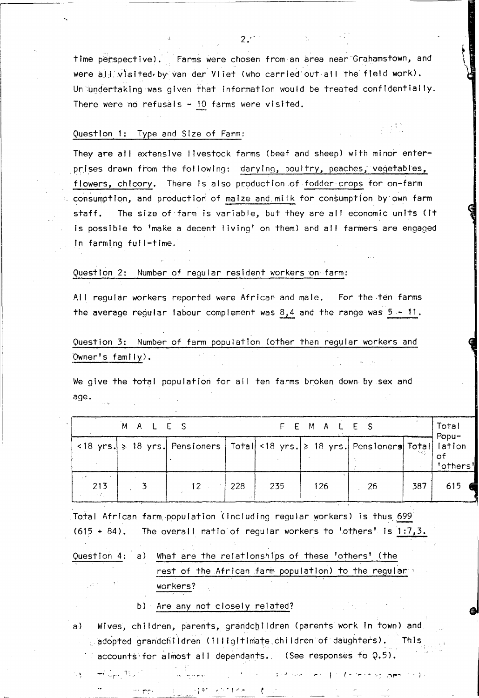time perspective). Farms were chosen from an area near Grahamstown, and were all visited by van der Vliet (who carried out all the field work). Un undertaking was given that information would be treated confidentially. There were no refusals  $-10$  farms were visited.

, \

 $\left\{ \right.$ 

**\\espective** 

 $2:$ 

#### Question 1: Type and Size of Farm:

',.

They are all extensive livestock farms (beef and sheep) with minor enterprises drawn from the following: darying, poultry, peaches, vegetables, flowers, chicory. There Is also production of fodder crops for on-farm consumption, and production of maize and milk for consumption by own farm staff. The size of'farm is variable, but they are all economic units (It Is possible to 'make a decent living' on them) and all farmers are engaged in farming full-time.

#### Question 2: Number of regular resident workers 'on farm:

All regular workers reported were African and male. For the ten farms the average regular labour complement was  $8,4$  and the range was  $5-11$ .

Question 3: Number of farm population (other than regular workers and Owner's family>.

We give the total population for all ten farms broken down by sex and age.

|       | MALES |                                                                                  |                 |     | F E M A L E S |    |     | Total<br>Popu-     |
|-------|-------|----------------------------------------------------------------------------------|-----------------|-----|---------------|----|-----|--------------------|
|       |       | <18 yrs. ≽ 18 yrs. Pensioners   Total <18 yrs. ≥ 18 yrs. Pensioners Total lation |                 |     |               |    |     | 0t<br>'others'     |
| $213$ |       | $12 -$                                                                           | $\frac{1228}{}$ | 235 | .126          | 26 | 387 | 615 $\blacksquare$ |

Total African farm population (including regular workers) is thus 699  $(615 + 84)$ . The overall ratio of regular workers to 'others' is  $1:7,3$ .

# Question 4: a) What are the relationships of these 'others' (the rest of the African farm population) to the regular workers?

#### b) . Are any not closely related?

. .. r"':' . i l' t *r··..* t .-' ...

, .<sup>..</sup> "<sub>ال</sub>مريد <del>" -</del>

ΛŅ.

a) Wives, children, parents, grandchildren (parents work in town) and  $_{\odot}$  adopted grandchildren (illigitimate children of daughters).  $\,$  This accounts for almost all dependants. (See responses to  $Q.5$ ).

ب(التحسين وفاضحتها الم العماليات).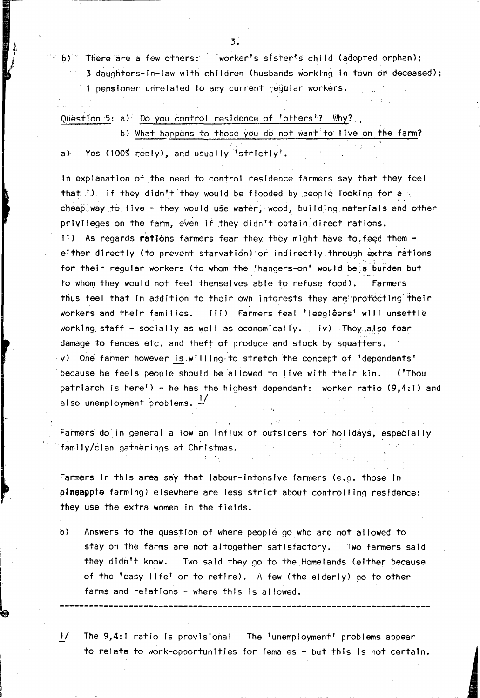$6)$ There are a few others: worker's sister's child (adopted orphan);

3 daughters-in-law with children (husbands working in town or deceased); 1 pensioner unrelated to any current regular workers.

Question 5: a) Do you control residence of 'others'? Why? b) What happens to those you do not want to live on the farm?

Yes (100% reply), and usually 'strictly'.  $a)$ 

In explanation of the need to control residence farmers say that they feel that 1). If they didn't they would be flooded by people looking for a cheap way to live - they would use water, wood, building materials and other privileges on the farm, even if they didn't obtain direct rations. ii) As regards rations farmers fear they they might have to feed them. either directly (to prevent starvation) or indirectly through extra rations for their regular workers (to whom the 'hangers-on' would be a burden but to whom they would not feel themselves able to refuse food). Farmers thus feel that in addition to their own interests they are protecting their workers and their families. [11] Farmers feal 'leeglêers' will unsettle working staff - socially as well as economically. iv) They also fear damage to fences etc. and theft of produce and stock by squatters. v) One farmer however is willing to stretch the concept of 'dependants' because he feels people should be allowed to live with their kin. ('Thou patriarch is here') - he has the highest dependant: worker ratio (9,4:1) and also unemployment problems.  $\frac{1}{2}$ 

Farmers do in general allow an influx of outsiders for holidays, especially family/clan gatherings at Christmas.

Farmers in this area say that labour-intensive farmers (e.g. those in pineapple farming) elsewhere are less strict about controlling residence: they use the extra women in the fields.

 $b)$ Answers to the question of where people go who are not allowed to stay on the farms are not altogether satisfactory. Two farmers said they didn't know. Two said they go to the Homelands (either because of the 'easy life' or to retire). A few (the elderly) go to other farms and relations - where this is allowed.

 $\frac{1}{2}$ The 9,4:1 ratio is provisional The 'unemployment' problems appear to relate to work-opportunities for females - but this is not certain.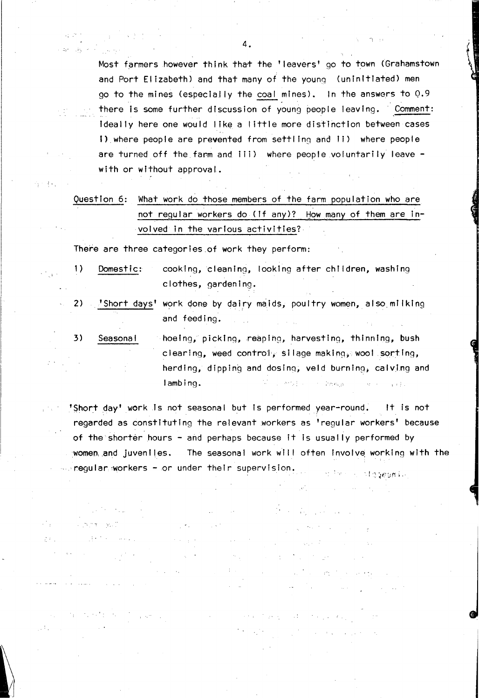Most farmers however think that the 'Ieavers' go to town (Grahamstown and Port Elizabeth) and that many of the young (uninitiated) men go to the mines (especially the coal mines). In the answers to  $Q.9$ there Is some further dIscussion of young people leaving. Comment: Ideally here one would lIke a little more distinction between cases I) where people are prevented from settling and II) where people are turned off the farm and iii) where people .voluntarily leave with or without approval.

| Question 6: What work do those members of the farm population who are |
|-----------------------------------------------------------------------|
| not regular workers do (if any)? How many of them are in-             |
| $\sim$ volved in the various activities? $\sim$                       |

There are three categories of work they perform:

31.25.3  $\sim 2\epsilon^2/(10\epsilon)$ 

 $\{+ \}$ 

 $\sim$ 

 $2.3\%$ 

is Pa

- 1) Domestic: cooking, cleaning, looking after children, washing clothes, gardening.
- 2) . 'Short days' work done by dairy maids, poultry women, also milking and feeding.
- 3) Seasonal hoeing, pickIng, reaping, harvesting, thinnIng, bush clearing, weed control; silage making, wool sorting, herding, dipping and dosing, veld burning, calving and lambing. The state of the state of the state of the state of the state of the state of the state of the state of the state of the state of the state of the state of the state of the state of the state of the state of the s  $\chi_2=\chi_1$  $\chi\approx\frac{1}{2}$  .

'Short day' work Is not seasonal but Is performed year-round. It is not regarded as constItuting the relevant ,workers as 'regular workers' because of the shorter hours - and perhaps because it is usually performed by women, and juveniles. The seasonal work will often involve working with the  $\sim$  regular workers - or under their supervision. a stepesmin

√.

 $\mathcal{L}^{\text{max}}_{\text{max}}$  and  $\mathcal{L}^{\text{max}}_{\text{max}}$ 

**Contractor**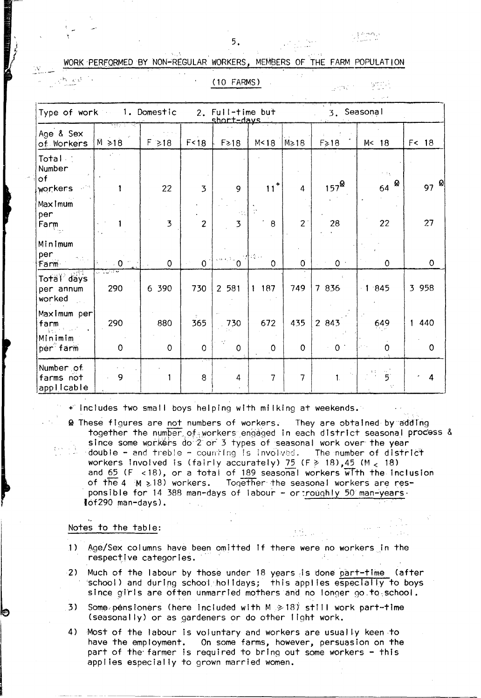y Brennes

### WORK PERFORMED BY NON-REGULAR WORKERS, MEMBERS OF THE FARM POPULATION

| ٠ |  |  |   |
|---|--|--|---|
|   |  |  | ٠ |
|   |  |  |   |

 $\frac{1}{2}$  . Then  $\frac{1}{2}$  ,  $\frac{1}{2}$  ,  $\frac{1}{2}$  ,  $\frac{1}{2}$  ,  $\frac{1}{2}$  ,  $\frac{1}{2}$ 

 $H = e^{i \frac{1}{2}t}$ 

(10 FARMS)

gend in

| Type of work 1. Domestic             |                     |                |                         | 2. Full-time but<br>short-days                 |                |                | 3. Seasonal       |                                                |                     |
|--------------------------------------|---------------------|----------------|-------------------------|------------------------------------------------|----------------|----------------|-------------------|------------------------------------------------|---------------------|
| Age & Sex<br>of Workers              | स्कृत<br>$M \ge 18$ | $F \ge 18$     | F < 18                  | $F \geq 18$                                    | M < 18         | $M \ge 18$     | $F\geq 18$        | M< 18                                          | F <sub>18</sub>     |
| Total<br>Number<br>òf<br>workers     | $\mathcal{F}$ .     | 22             | 3                       | 9                                              | $11+$          | 4              | $157^{\circledR}$ | $\sim$ 1 $_{\rm L}$<br>64 $\infty$             | 97 $\frac{1}{2}$    |
| Maximum<br>per<br>Farm               |                     | $\overline{3}$ | $\overline{\mathbf{c}}$ | $\overline{3}$                                 | 8              | $\overline{2}$ | 28                | 22                                             | 27                  |
| Minimum<br>per<br> Farm              | $\Omega$            | 0              | $\bullet$               | $\mathbf{S}^{(a)} \in \mathbb{R}^{n \times n}$ | $\mathsf{O}$   | $\overline{0}$ | 0 <sup>1</sup>    | 0                                              | $\mathbf 0$         |
| Total days<br>per annum<br>worked    | ೧೮೧೯೪<br>290        | 6 390          | 730                     | 2 581                                          | 1187           | 749            | 7 836             | 1.845                                          | 3 9 5 8             |
| Maximum per<br>farm<br>Minimim       | 290                 | 880            | 365                     | 730                                            | 672            | 435            | 2 843             | 649                                            | 440<br>$\mathbf{1}$ |
| per farm                             | $\mathbf 0$         | 0              | $\mathbf 0$             | $\pmb{0}$                                      | $\circ$        | $\mathbf 0$    | $\mathbf{0}$      | 0                                              | $\mathbf 0$         |
| Number of<br>farms not<br>applicable | 9                   |                | 8                       | 4                                              | $\overline{7}$ | 7              | 1.                | $\overline{5}$<br>$\frac{1}{2}\frac{1}{\mu}$ . | 4                   |

+ Includes two small boys helping with milking at weekends.

@ These figures are not numbers of workers. They are obtained by adding together the number of workers engaged in each district seasonal process & since some workers do 2 or 3 types of seasonal work over the year double - and treble - counting is involved. The number of district workers involved is (fairly accurately) 75  $(F \ge 18)$ , 45 (M < 18) and 65 ( $F \lt 18$ ), or a total of 189 seasonal workers with the inclusion of the 4 M > 18) workers. Together the seasonal workers are responsible for 14 388 man-days of labour - or roughly 50 man-years. lof290 man-days).

#### Notes to the table:

- Age/Sex columns have been omitted if there were no workers in the  $\left| \cdot \right|$ respective categories.  $\label{eq:2} \mathcal{L}(\mathcal{A}_1,\mathcal{A}_2) = \mathcal{L}(\mathcal{A}_1,\mathcal{A}_2)$
- Much of the labour by those under 18 years is done part-time (after  $2)$ school) and during school holidays; this applies especially to boys since girls are often unmarried mothers and no longer go.to.school.
- 3) Some pensioners (here included with  $M \ge 18$ ) still work part-time (seasonally) or as gardeners or do other light work.
- $4)$ Most of the labour is voluntary and workers are usually keen to have the employment. On some farms, however, persuasion on the part of the farmer is required to bring out some workers - this applies especially to grown married women.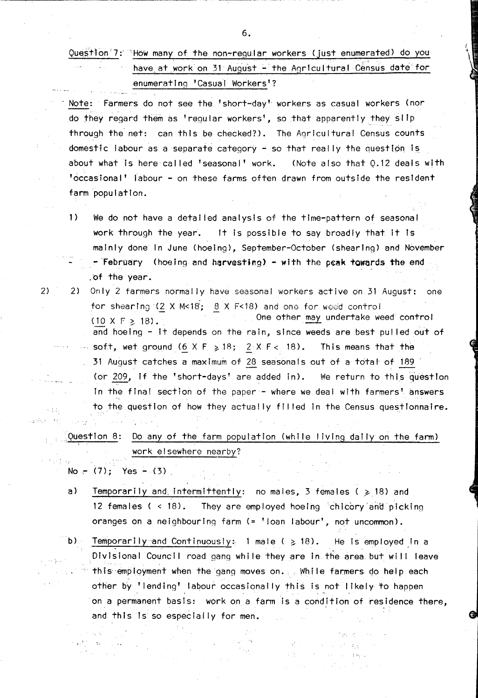|  | Question'7: How many of the non-regular workers (just enumerated) do you                                                                                                       |
|--|--------------------------------------------------------------------------------------------------------------------------------------------------------------------------------|
|  | ਾਲਾ ਸਾਹਿਬ ਨੂੰ ਸਮਾਂ ਦੇ ਸ਼ਾਮਲ ਸ਼ਾਮਲ ਸ਼ਾਮਲ ਸ਼ਾਮਲ ਸ਼ਾਮਲ ਸ਼ਾਮਲ ਸ਼ਾਮਲ ਸ਼ਾਮਲ ਸ਼ਾਮਲ ਸ਼ਾਮਲ ਸ਼ਾਮਲ ਸ਼ਾਮਲ ਸ਼ਾਮਲ ਸ਼ਾਮਲ ਸ਼ਾਮ<br>have at work on 31 August - the Agricultural Census date for |
|  | enumerating 'Casual Workers'?                                                                                                                                                  |

Note: Farmers do not see the 'short-day' workers as casual workers (nor do they regard them as 'regular workers', so that apparently they slip through the net: can this be checked?). The Agricultural Census counts domestic labour as a separate category - so that really the question is. about what is here called 'seasonal' work. (Note also that 0.12 deals with 'occasional' labour - on these farms often drawn from outside the resident farm population.

- 1) We do not have a detailed analysis of the time-pattern of seasonal work through the year. It is possible to say broadly that It Is mainly done in June (hoeing), September-October (shearing) and November  $-$  February (hoeing and harvesting) - with the peak towards the end .of the year.
- 2) 2) Only 2 farmers normally have seasonal workers active on 31 August: one for shearing  $(2 \times M < 18; 8 \times F < 18)$  and one for weed control  $(10 \times F \geq 18)$ . One other may undertake weed control and hoeing  $-$  it depends on the rain, since weeds are best pulled out of soft, wet ground  $(6 \times F \ge 18; 2 \times F < 18)$ . This means that the <sup>31</sup>August catches a maximum of 28 seasonals out Of a total of 189 (or 209, if the 'short-days' are added in). We return to this question In the final section of the paper - where we deal with farmers' answers to the question of how they actually filled in the Census questIonnaire.  $\sim 1.1$  $\{ \mathbf{x}_1, \mathbf{y}_2, \dots, \mathbf{x}_N \}$

Question 8: Do any of the farm population (while living daily on the farm) work elsewhere nearby? 光线器

No  $-$  (7); Yes  $-$  (3)

 $\tau_{\rm eff}$ 

- a) Temporarily and intermittently: no males, 3 females ( $\geqslant$  18) and 12 females ( < 18). They are employed hoeing 'chicory'and picking oranges on a neighbouring farm (= 'loan labour', not uncommon).
- b) Temporarily and Continuously: 1 male ( $\geq$  18). He is employed in a Divisional Council road gang while they are in the area but will leave this employment when the gang moves on., While farmers do help each other by 'lending' labour occasionally this is not likely to happen  $\star$  , ...  $\star$  , ...  $\star$  , ...  $\star$  , ...  $\star$  , ...  $\star$  , ...  $\star$  , ...  $\star$  , ...  $\star$  , ...  $\star$  , ...  $\star$ on a permanent basis: work on a farm is a condition of residence there, and this Is so especially for men.

 $\mathcal{L}_\mathbf{q}$ 

 $\mathcal{A}_1(\mathcal{F}) \subseteq \mathcal{A}(\mathcal{F})$ 

6.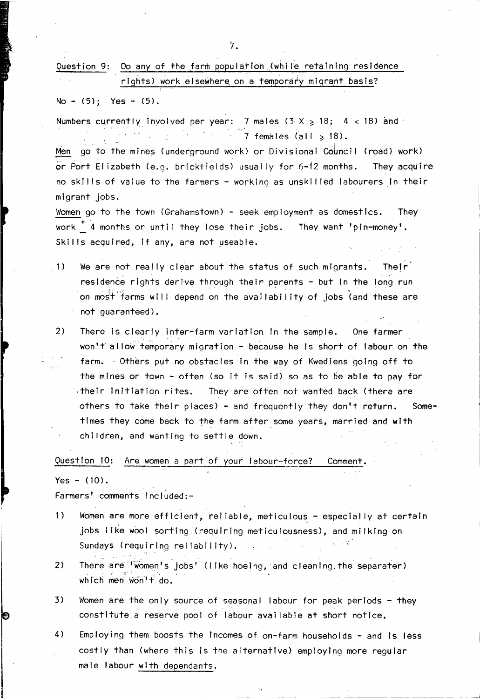No - (5); Yes - (5).

Numbers currently involved per year: 7 males  $(3 \times 5)$  18; 4 < 18) and .  $7.7$  females (all  $\geqslant$  18).

Men go to the mines (underground work) or Divisional Council (road) work) or Port EI izabeth (e.g. brickfields) usually for 6-12 months. They acquire no skil Is of value to the farmers - working as unskil led labourers In their migrant jobs.

Women go to the town (Grahamstown) - seek employment as domestics. They work <sup>+</sup> 4 months or until they lose their jobs. They want 'pin-money'. Skills acquired, if any, are not useable.

- 1) We are not really clear about the status of such migrants. Their residence rights derive through their parents - but in the long run on most farms will depend on the availability of jobs (and these are not guaranteed).
- 2) There Is clearly inter-farm variation In the sample. One farmer won't allow temporary migration - because he is short of labour on the farm. Others put no obstacles in the way of Kwediens going off to the mines or town - often (so it is said) so as to be able to pay for ;thelr Initiation rites. They are often not wanted back (there are others to take their places) - and frequently they don't return. times they come back to the farm after some years, married and with chi Idren, and wanting to settle down. Some-

Question 10: Are women a part of your labour-force? Comment.

 $Yes - (10)$ .

Farmers' comments Included:-

- 1) Women are more efficient, reliable, meticulous especially at certain jobs I Ike wool sorting (requiring meticulousness), and milking on Sundays (requiring reliability).
- 2) There are 'women's jobs' (like hoeing, and cleaning the separater) which men won'f do.
- 3) Women are the only source of seasonal labour for peak periods they constitute a reserve pool of labour avai lable at short notice.
- 4) Employing them boosts the incomes of on-farm households and is less costly than (where this is the alternative) employing more regular male labour with dependants.

 $\mathcal{L}_\mathcal{L} = \mathcal{L}_\mathcal{L}$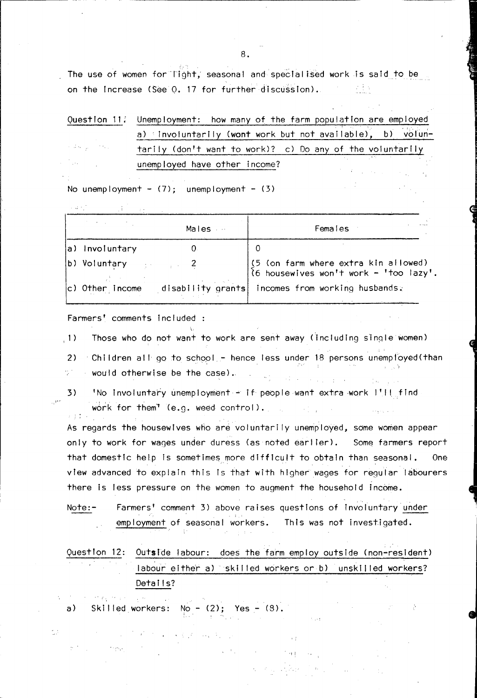The use of women for Tight, seasonal and specialised work is said to be on the Increase (See Q. 17 for further discussion).

|                                                       | Question 11: Unemployment: how many of the farm population are employed |
|-------------------------------------------------------|-------------------------------------------------------------------------|
|                                                       | a) Involuntarily (wont work but not available), b) volun-               |
| $\alpha$ , and $\alpha$ , and $\alpha$ , and $\alpha$ | tarily (don't want to work)? c) Do any of the voluntarily               |
| <b>Contractor</b>                                     | and the company of the company of the<br>unemployed have other income?  |

No unemployment -  $(7)$ ; unemployment -  $(3)$ 

kan perang perang perang perang perang perang perang perang perang perang perang perang perang perang perang p<br>Perang perang perang perang perang perang perang perang perang perang perang perang perang perang perang peran

|                              | Males | Females                                                                                                                    |
|------------------------------|-------|----------------------------------------------------------------------------------------------------------------------------|
| a) Involuntary               |       | O                                                                                                                          |
| b) Voluntary $\frac{1}{2}$ 2 |       | $\begin{cases} (5 \text{ (on farm where extra kin allowed)} \\ (6 \text{ housewives won't work - 'too lazy'.} \end{cases}$ |
|                              |       | c) Other Income disability grants incomes from working husbands.                                                           |

Farmers' comments Included

.1) Those who do not want to work are sent away (including single women)

2) Children all go to school - hence less under 18 persons unemployed(than  $\sim$  would otherwise be the case).  $\sim$  $\mathcal{A}$  , we have a property of  $\mathcal{A}$ 计空标 医空间

,I"

άž

 $\sigma(\Sigma,\Sigma)$ 

وإيجابه

 $3)$  INo Involuntary unemployment - if people want extra work I'll find work for them' (e.g. weed control).  $\sim 10^{11}$  $2 - \frac{1}{2} - \frac{1}{4}$ 

As regards the housewives who are voluntarily unemployed, some women appear only to work for wages under duress (as noted earlier). Some farmers report that domestic help is sometimes more difficult to obtain than seasonal. One view advanced to explain this is that with higher wages for regular labourers there is less pressure on the women to augment the household income.

Note:- Farmers' comment 3) above raises questions of involuntary under employment of seasonal workers. This was not investigated.

QuestIon 12: Outside labour: does the farm employ outside (non-resident) labour either a) skilled workers or b) unskilled workers? Details?

 $\rightarrow$  2

and the main  $\chi$  ,  $\gamma$  . a) Skilled workers:  $No - (2)$ ; Yes -  $(8)$ .

 $\label{eq:2.1} \mathcal{A}(\mathcal{A}) = \mathcal{A}(\mathcal{A}) = \mathcal{A}(\mathcal{A}) = \mathcal{A}(\mathcal{A}) = \mathcal{A}(\mathcal{A})$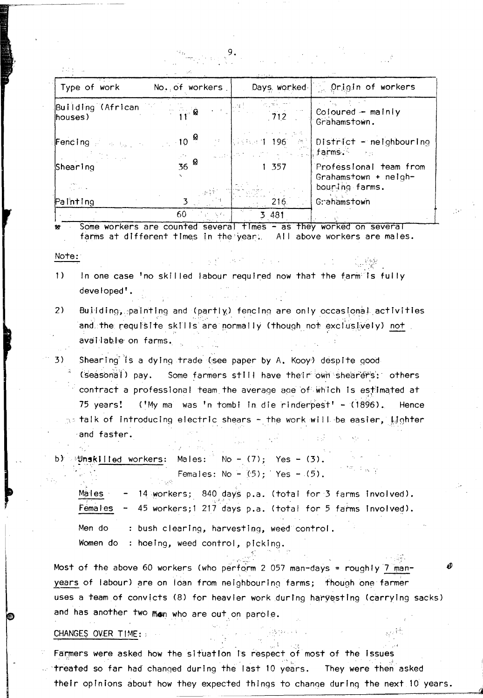| Type of work                                                 | No. of workers   | Days, worked                                                                                                                                                                                   | <b>Origin of workers</b>                       |
|--------------------------------------------------------------|------------------|------------------------------------------------------------------------------------------------------------------------------------------------------------------------------------------------|------------------------------------------------|
| Building (African Company)<br>houses)                        |                  | 712                                                                                                                                                                                            | $Coloured - mainly$<br>Grahamstown.            |
| Fencing $\mathbb{R}^2$ and $\mathbb{R}^2$ and $\mathbb{R}^2$ |                  | $\left\{ \mathbb{R}^{n_{\text{max}}}, \mathbb{R}^{n_{\text{max}}}, \mathbb{R}^{n_{\text{max}}}, \mathbb{R}^{n_{\text{max}}}, \mathbb{R}^{n_{\text{max}}}, \mathbb{R}^{n_{\text{max}}}\right\}$ | 【注意】196 ◎【District - neighbouring              |
| Shearing                                                     | 36 $\frac{8}{2}$ | 1 357                                                                                                                                                                                          | Professional team from<br>Grahamstown + neigh- |
| <b>King Carriers</b>                                         |                  |                                                                                                                                                                                                | bouring farms.                                 |
| Painting                                                     |                  | 216.                                                                                                                                                                                           | Grahamstown                                    |
|                                                              | 60               | 3 481                                                                                                                                                                                          |                                                |

Some workers are counted several fimes - as they worked on several farms at different times in the year. All above workers are males.

Note:

 $\left\{ \right\}$ In one case 'no skilled labour required now that the farmits fully developed'.

医单位 医囊的 地球的 人名英格兰

- $2)$ Building, painting and (partly) fencing are only occasional activities and the requisite skills are normally (though not exclusively) not available on farms.
- 3) Shearing is a dying trade (see paper by A. Kooy) despite good (seasonal) pay. Some farmers still have their own shearers; others contract a professional team the average age of which is estimated at 75 years! ('My ma was 'n tombi in die rinderpest' - (1896). Hence  $_{\odot}$ : talk of introducing electric shears - the work will be easier, [J]ghter and faster.
- Males:  $\sqrt{N}$  No (7); Yes (3). **SUnskilled** workers: Females: No -  $(5)$ ; Yes -  $(5)$ .

14 workers; 840 days p.a. (total for 3 farms involved). Males 45 workers;1 217 days p.a. (total for 5 farms involved). Females  $\frac{1}{2}$ 

: bush clearing, harvesting, weed control. Men do Women do: hoeing, weed control, picking.

Most of the above 60 workers (who perform 2 057 man-days = roughly 7 manyears of labour) are on loan from neighbouring farms; though one farmer uses a team of convicts (8) for heavier work during harvesting (carrying sacks) and has another two man who are out on parole.

 $\alpha$  ,  $\alpha$  ,  $\alpha$ 

CHANGES OVER TIME:

Farmers were asked how the situation is respect of most of the issues treated so far had changed during the last 10 years. They were then asked their opinions about how they expected things to change during the next 10 years.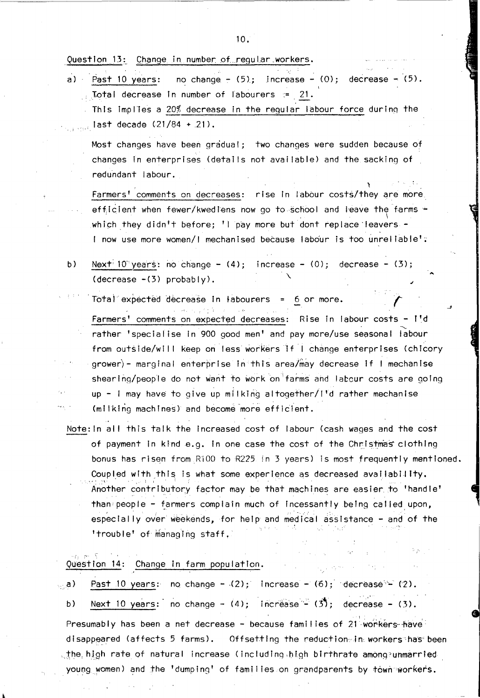Question 13: Change in number of regular workers.

Past 10 years: no change -  $(5)$ ; increase -  $(0)$ ; decrease -  $(5)$ .  $a)$ Total decrease in number of labourers := 21. This implies a 20% decrease in the regular labour force during the

last decade (21/84 + 21).

Most changes have been gradual; two changes were sudden because of changes in enterprises (details not available) and the sacking of redundant labour.

Farmers' comments on decreases: rise in labour costs/they are more efficient when fewer/kwediens now go to school and leave the farms which they didn't before; 'I pay more but dont replace leavers -I now use more women/I mechanised because labour is too unreliable':

- $b)$ Next<sup>:</sup> 10 years: no change -  $(4)$ ; increase -  $(0)$ ; decrease -  $(3)$ ;  $\text{(decrease -} (3) probably).$ 
	- Total expected decrease in labourers = 6 or more. Farmers' comments on expected decreases: Rise in labour costs - I'd rather 'specialise in 900 good men' and pay more/use seasonal labour from outside/will keep on less workers if I change enterprises (chicory grower) - marginal enterprise in this area/may decrease if I mechanise shearing/people do not want to work on farms and labour costs are going up - I may have to give up milking altogether/I'd rather mechanise (milking machines) and become more efficient.
- Note: In all this talk the increased cost of labour (cash wages and the cost of payment in kind e.g. In one case the cost of the Christmas clothing bonus has risen from RiOO to R225 in 3 years) is most frequently mentioned. Coupled with this is what some experience as decreased availability. Another contributory factor may be that machines are easier to 'handle' than people - farmers complain much of incessantly being called upon, especially over weekends, for help and medical assistance - and of the 'trouble' of managing staff,

Question 14: Change in farm population.

| $_{\odot}$ a) – | Past 10 years: no change - $(2)$ ; Increase - $(6)$ ; decrease - $(2)$ .    |
|-----------------|-----------------------------------------------------------------------------|
| b)              | Next 10 years: no change - $(4)$ ; increase - $(3)$ ; decrease - $(3)$ .    |
|                 | Presumably has been a net decrease - because families of 21 workers have    |
|                 | disappeared (affects 5 farms). Offsetting the reduction in workers has been |
|                 | the high rate of natural increase (including high birthrate among unmarried |
|                 | young women) and the 'dumping' of families on grandparents by town workers. |

 $10.$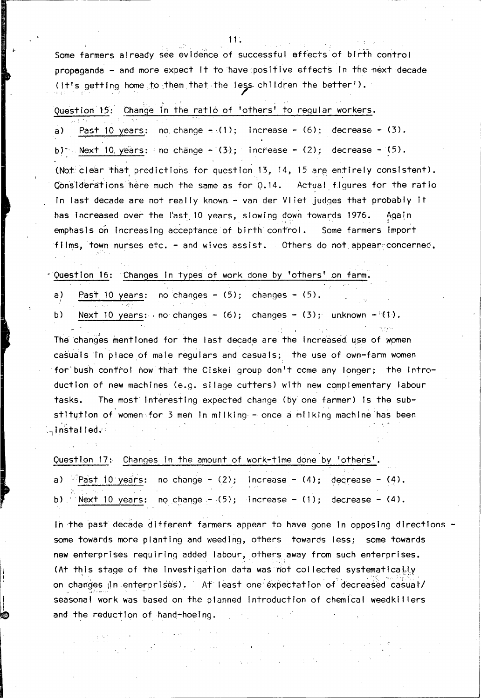Some farmers already see evidence of successful effects of birth control propaganda - and more expect it to have positive effects in the next decade (It's getting home to them that the less children the better').

### Question 15: Change In the ratio of 'others' to regular workers.

Past 10 years: no change  $-\sqrt{1}$ ; increase - (6); decrease - (3).  $\sigma$ ) b) Next 10 years: no change  $-(3)$ ; increase - (2); decrease - (5). (Noticlear that predictions for question 13, 14, 15 are entirely consistent). Considerations here much the same as for 0.14. Actual figures for the ratio In last decade are not really known - van der Vliet judges that probably it has increased over the last 10 years, slowing down towards 1976. Again emphasis on increasing acceptance of birth control. Some farmers import films, town nurses etc. - and wives assist. Others do not appear concerned.

Question 16: Changes in types of work done by 'others' on farm.

- Past 10 years: no changes  $(5)$ ; changes  $(5)$ . a)
- Next 10 years: no changes (6); changes (3); unknown (1).  $b)$

The changes mentioned for the last decade are the increased use of women casuals in place of male regulars and casuals; the use of own-farm women for bush control now that the Ciskei group don't come any longer; the introduction of new machines (e.g. silage cutters) with new complementary labour The most interesting expected change (by one farmer) is the subtasks. stitution of women for 3 men in milking - once a milking machine has been aninstalled.

Question 17: Changes in the amount of work-time done by 'others'.

|  | a) $\frac{1}{2}$ Past 10 years: no change - (2); Increase - (4); decrease - (4). |  |
|--|----------------------------------------------------------------------------------|--|
|  | b) Next 10 years: no change $- (5)$ ; increase - (1); decrease - (4).            |  |

In the past decade different farmers appear to have gone in opposing directions some towards more planting and weeding, others towards less; some towards new enterprises requiring added labour, others away from such enterprises. (At this stage of the investigation data was not collected systematically on changes in enterprises). At least one expectation of decreased casual/ seasonal work was based on the planned introduction of chemical weedkillers and the reduction of hand-hoeing.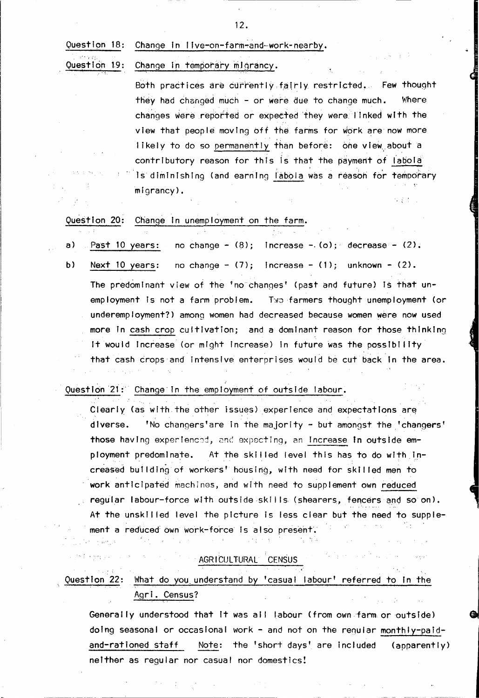#### Change in live-on-farm-and-work-nearby. Ouestion 18:

Question 19: Change in temporary migrancy.

> Both practices are currently fairly restricted. Few thought they had changed much - or were due to change much. Where changes were reported or expected they were linked with the view that people moving off the farms for work are now more likely to do so permanently than before: one view about a contributory reason for this is that the payment of labola Is diminishing (and earning labola was a reason for temporary  $minarrow$ ,

Question 20: Change in unemployment on the farm.

- Past 10 years: no change -  $(8)$ ; Increase -  $(0)$ ; decrease -  $(2)$ . a)
- $b)$ Next 10 years: no change -  $(7)$ ; increase -  $(1)$ ; unknown -  $(2)$ . The predominant view of the 'no changes' (past and future) is that unemployment is not a farm problem. Two farmers thought unemployment (or underemployment?) among women had decreased because women were now used more in cash crop cultivation; and a dominant reason for those thinking It would Increase (or might Increase) in future was the possibility that cash crops and intensive enterprises would be cut back in the area.

Question 21: Change in the employment of outside labour.

Clearly (as with the other issues) experience and expectations are 'No changers'are in the majority - but amongst the 'changers' diverse. those having experienced, and expecting, an increase in outside employment predomlnate. At the skilled level this has to do with increased building of workers' housing, with need for skilled men to work anticipated machines, and with need to supplement own reduced regular labour-force with outside skills (shearers, fencers and so on). At the unskilled level the picture is less clear but the need to supplement a reduced own work-force is also present.

AGRICULTURAL CENSUS

Question 22: What do you understand by 'casual labour' referred to in the Agri. Census?

Generally understood that it was all labour (from own farm or outside) doing seasonal or occasional work - and not on the requiar monthly-paid-Note: the 'short days' are included and-rationed staff (apparently) neither as regular nor casual nor domestics!

 $12.$